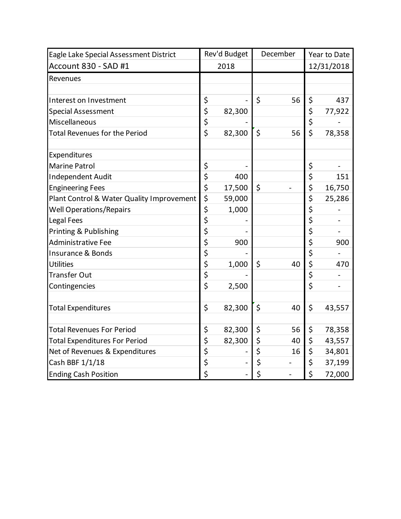| Eagle Lake Special Assessment District    | Rev'd Budget |        | December |                          | Year to Date            |            |
|-------------------------------------------|--------------|--------|----------|--------------------------|-------------------------|------------|
| Account 830 - SAD #1                      | 2018         |        |          |                          |                         | 12/31/2018 |
| Revenues                                  |              |        |          |                          |                         |            |
|                                           |              |        |          |                          |                         |            |
| Interest on Investment                    | \$           |        | \$       | 56                       | \$                      | 437        |
| <b>Special Assessment</b>                 | \$           | 82,300 |          |                          | \$                      | 77,922     |
| Miscellaneous                             | \$           |        |          |                          | \$                      |            |
| <b>Total Revenues for the Period</b>      | \$           | 82,300 | \$       | 56                       | $\overline{\mathsf{S}}$ | 78,358     |
|                                           |              |        |          |                          |                         |            |
| Expenditures<br><b>Marine Patrol</b>      | \$           |        |          |                          | \$                      |            |
| Independent Audit                         | \$           | 400    |          |                          | \$                      | 151        |
| <b>Engineering Fees</b>                   | \$           | 17,500 | \$       |                          | \$                      | 16,750     |
| Plant Control & Water Quality Improvement | \$           | 59,000 |          |                          | \$                      | 25,286     |
| <b>Well Operations/Repairs</b>            | \$           | 1,000  |          |                          | \$                      |            |
| <b>Legal Fees</b>                         | \$           |        |          |                          | \$                      |            |
| Printing & Publishing                     | \$           |        |          |                          | \$                      |            |
| <b>Administrative Fee</b>                 | \$           | 900    |          |                          | \$                      | 900        |
| <b>Insurance &amp; Bonds</b>              | \$           |        |          |                          | \$                      |            |
| <b>Utilities</b>                          | \$           | 1,000  | \$       | 40                       | \$                      | 470        |
| <b>Transfer Out</b>                       | \$           |        |          |                          | \$                      |            |
| Contingencies                             | \$           | 2,500  |          |                          | \$                      |            |
|                                           |              |        |          |                          |                         |            |
| <b>Total Expenditures</b>                 | \$           | 82,300 | \$       | 40                       | \$                      | 43,557     |
|                                           |              |        |          |                          |                         |            |
| <b>Total Revenues For Period</b>          | \$           | 82,300 | \$       | 56                       | \$                      | 78,358     |
| <b>Total Expenditures For Period</b>      | \$           | 82,300 | \$       | 40                       | \$                      | 43,557     |
| Net of Revenues & Expenditures            | \$           |        | \$       | 16                       | \$                      | 34,801     |
| Cash BBF 1/1/18                           | \$           |        | \$       |                          | \$                      | 37,199     |
| <b>Ending Cash Position</b>               | \$           |        | \$       | $\overline{\phantom{0}}$ | \$                      | 72,000     |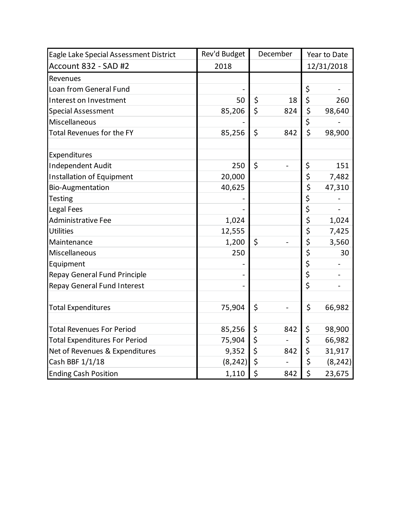| Eagle Lake Special Assessment District | Rev'd Budget | December |     | Year to Date |          |
|----------------------------------------|--------------|----------|-----|--------------|----------|
| Account 832 - SAD #2                   | 2018         |          |     | 12/31/2018   |          |
| Revenues                               |              |          |     |              |          |
| Loan from General Fund                 |              |          |     | \$           |          |
| Interest on Investment                 | 50           | \$       | 18  | \$           | 260      |
| <b>Special Assessment</b>              | 85,206       | \$       | 824 | \$           | 98,640   |
| Miscellaneous                          |              |          |     | \$           |          |
| <b>Total Revenues for the FY</b>       | 85,256       | \$       | 842 | \$           | 98,900   |
| Expenditures                           |              |          |     |              |          |
| <b>Independent Audit</b>               | 250          | \$       |     | \$           | 151      |
| <b>Installation of Equipment</b>       | 20,000       |          |     | \$           | 7,482    |
| <b>Bio-Augmentation</b>                | 40,625       |          |     | \$           | 47,310   |
| <b>Testing</b>                         |              |          |     | \$           |          |
| Legal Fees                             |              |          |     | \$           |          |
| Administrative Fee                     | 1,024        |          |     | \$           | 1,024    |
| <b>Utilities</b>                       | 12,555       |          |     | \$           | 7,425    |
| Maintenance                            | 1,200        | \$       |     | \$           | 3,560    |
| Miscellaneous                          | 250          |          |     | \$           | 30       |
| Equipment                              |              |          |     | \$           |          |
| <b>Repay General Fund Principle</b>    |              |          |     | \$           |          |
| <b>Repay General Fund Interest</b>     |              |          |     | \$           |          |
| <b>Total Expenditures</b>              | 75,904       | \$       |     | \$           | 66,982   |
| <b>Total Revenues For Period</b>       | 85,256       | \$       | 842 | \$           | 98,900   |
| <b>Total Expenditures For Period</b>   | 75,904       | \$       |     | \$           | 66,982   |
| Net of Revenues & Expenditures         | 9,352        | \$       | 842 | \$           | 31,917   |
| Cash BBF 1/1/18                        | (8, 242)     | \$       |     | \$           | (8, 242) |
| <b>Ending Cash Position</b>            | 1,110        | \$       | 842 | \$           | 23,675   |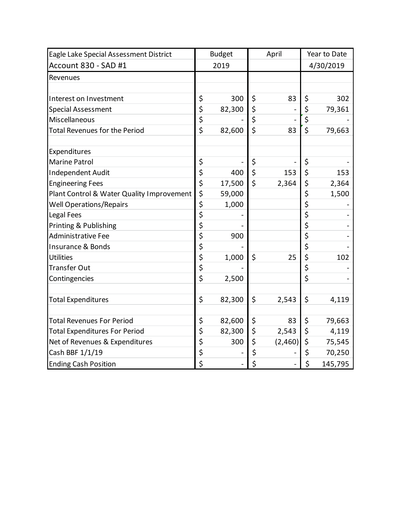| Eagle Lake Special Assessment District    | <b>Budget</b> |        | April            |         | Year to Date |         |
|-------------------------------------------|---------------|--------|------------------|---------|--------------|---------|
| Account 830 - SAD #1                      | 2019          |        |                  |         | 4/30/2019    |         |
| Revenues                                  |               |        |                  |         |              |         |
|                                           |               |        |                  |         |              |         |
| Interest on Investment                    | \$            | 300    | \$               | 83      | \$           | 302     |
| <b>Special Assessment</b>                 | \$            | 82,300 | \$               |         | \$           | 79,361  |
| Miscellaneous                             | \$            |        | \$               |         | \$           |         |
| <b>Total Revenues for the Period</b>      | \$            | 82,600 | $\overline{\xi}$ | 83      | \$           | 79,663  |
| Expenditures                              |               |        |                  |         |              |         |
| <b>Marine Patrol</b>                      | \$            |        | \$               |         | \$           |         |
| Independent Audit                         | \$            | 400    | $\overline{\xi}$ | 153     | \$           | 153     |
| <b>Engineering Fees</b>                   | \$            | 17,500 | \$               | 2,364   | \$           | 2,364   |
| Plant Control & Water Quality Improvement | \$            | 59,000 |                  |         | \$           | 1,500   |
| <b>Well Operations/Repairs</b>            | \$            | 1,000  |                  |         | \$           |         |
| Legal Fees                                | \$            |        |                  |         | \$           |         |
| Printing & Publishing                     | \$            |        |                  |         | \$           |         |
| <b>Administrative Fee</b>                 | \$            | 900    |                  |         | \$           |         |
| Insurance & Bonds                         | \$            |        |                  |         | \$           |         |
| <b>Utilities</b>                          | \$            | 1,000  | \$               | 25      | \$           | 102     |
| <b>Transfer Out</b>                       | \$            |        |                  |         | \$           |         |
| Contingencies                             | \$            | 2,500  |                  |         | \$           |         |
| <b>Total Expenditures</b>                 | \$            | 82,300 | \$               | 2,543   | \$           | 4,119   |
| <b>Total Revenues For Period</b>          | \$            | 82,600 | \$               | 83      | \$           | 79,663  |
| <b>Total Expenditures For Period</b>      | \$            | 82,300 | \$               | 2,543   | \$           | 4,119   |
| Net of Revenues & Expenditures            | \$            | 300    | \$               | (2,460) | \$           | 75,545  |
| Cash BBF 1/1/19                           | \$            |        | \$               |         | \$           | 70,250  |
| <b>Ending Cash Position</b>               | \$            |        | \$               |         | \$           | 145,795 |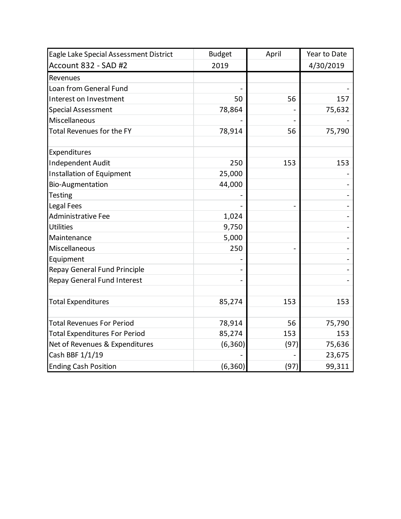| Eagle Lake Special Assessment District | <b>Budget</b> | April | Year to Date |  |
|----------------------------------------|---------------|-------|--------------|--|
| Account 832 - SAD #2                   | 2019          |       | 4/30/2019    |  |
| Revenues                               |               |       |              |  |
| Loan from General Fund                 |               |       |              |  |
| Interest on Investment                 | 50            | 56    | 157          |  |
| <b>Special Assessment</b>              | 78,864        |       | 75,632       |  |
| Miscellaneous                          |               |       |              |  |
| <b>Total Revenues for the FY</b>       | 78,914        | 56    | 75,790       |  |
| Expenditures                           |               |       |              |  |
| Independent Audit                      | 250           | 153   | 153          |  |
| <b>Installation of Equipment</b>       | 25,000        |       |              |  |
| <b>Bio-Augmentation</b>                | 44,000        |       |              |  |
| <b>Testing</b>                         |               |       |              |  |
| Legal Fees                             |               |       |              |  |
| <b>Administrative Fee</b>              | 1,024         |       |              |  |
| <b>Utilities</b>                       | 9,750         |       |              |  |
| Maintenance                            | 5,000         |       |              |  |
| Miscellaneous                          | 250           |       |              |  |
| Equipment                              |               |       |              |  |
| <b>Repay General Fund Principle</b>    |               |       |              |  |
| <b>Repay General Fund Interest</b>     |               |       |              |  |
| <b>Total Expenditures</b>              | 85,274        | 153   | 153          |  |
| <b>Total Revenues For Period</b>       | 78,914        | 56    | 75,790       |  |
| <b>Total Expenditures For Period</b>   | 85,274        | 153   | 153          |  |
| Net of Revenues & Expenditures         | (6, 360)      | (97)  | 75,636       |  |
| Cash BBF 1/1/19                        |               |       | 23,675       |  |
| <b>Ending Cash Position</b>            | (6,360)       | (97)  | 99,311       |  |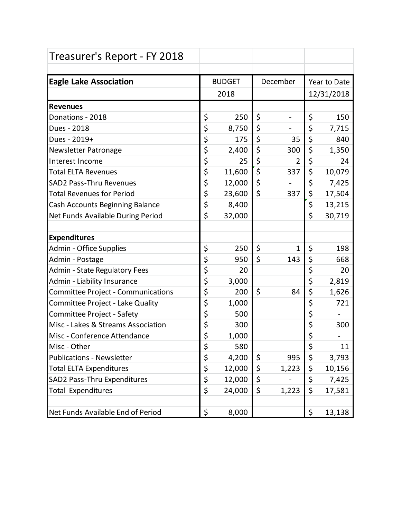| Treasurer's Report - FY 2018              |               |        |          |                |                  |        |
|-------------------------------------------|---------------|--------|----------|----------------|------------------|--------|
| <b>Eagle Lake Association</b>             | <b>BUDGET</b> |        | December |                | Year to Date     |        |
|                                           | 2018          |        |          |                | 12/31/2018       |        |
| <b>Revenues</b>                           |               |        |          |                |                  |        |
| Donations - 2018                          | \$            | 250    | \$       | -              | \$               | 150    |
| Dues - 2018                               | \$            | 8,750  | \$       |                | \$               | 7,715  |
| Dues - 2019+                              | \$            | 175    | \$       | 35             | \$               | 840    |
| Newsletter Patronage                      | \$            | 2,400  | \$       | 300            | \$               | 1,350  |
| Interest Income                           | \$            | 25     | \$       | $\overline{2}$ | \$               | 24     |
| <b>Total ELTA Revenues</b>                | \$            | 11,600 | \$       | 337            | \$               | 10,079 |
| <b>SAD2 Pass-Thru Revenues</b>            | \$            | 12,000 | \$       |                | \$               | 7,425  |
| <b>Total Revenues for Period</b>          | \$            | 23,600 | \$       | 337            | \$               | 17,504 |
| Cash Accounts Beginning Balance           | \$            | 8,400  |          |                | \$               | 13,215 |
| Net Funds Available During Period         | \$            | 32,000 |          |                | \$               | 30,719 |
|                                           |               |        |          |                |                  |        |
| <b>Expenditures</b>                       |               |        |          |                |                  |        |
| Admin - Office Supplies                   | \$            | 250    | \$       | 1              | \$               | 198    |
| Admin - Postage                           | \$            | 950    | \$       | 143            | \$               | 668    |
| Admin - State Regulatory Fees             | \$            | 20     |          |                | \$               | 20     |
| Admin - Liability Insurance               | \$            | 3,000  |          |                | \$               | 2,819  |
| <b>Committee Project - Communications</b> | \$            | 200    | \$       | 84             | \$               | 1,626  |
| Committee Project - Lake Quality          | \$            | 1,000  |          |                | \$               | 721    |
| Committee Project - Safety                | \$            | 500    |          |                | \$               |        |
| Misc - Lakes & Streams Association        | \$            | 300    |          |                | $\overline{\xi}$ | 300    |
| Misc - Conference Attendance              | \$            | 1,000  |          |                | \$               |        |
| Misc - Other                              | \$            | 580    |          |                | \$               | 11     |
| <b>Publications - Newsletter</b>          | \$            | 4,200  | \$       | 995            | \$               | 3,793  |
| <b>Total ELTA Expenditures</b>            | \$            | 12,000 | \$       | 1,223          | \$               | 10,156 |
| <b>SAD2 Pass-Thru Expenditures</b>        | \$            | 12,000 | \$       |                | \$               | 7,425  |
| <b>Total Expenditures</b>                 | \$            | 24,000 | \$       | 1,223          | \$               | 17,581 |
|                                           |               |        |          |                |                  |        |
| Net Funds Available End of Period         | \$            | 8,000  |          |                | \$               | 13,138 |